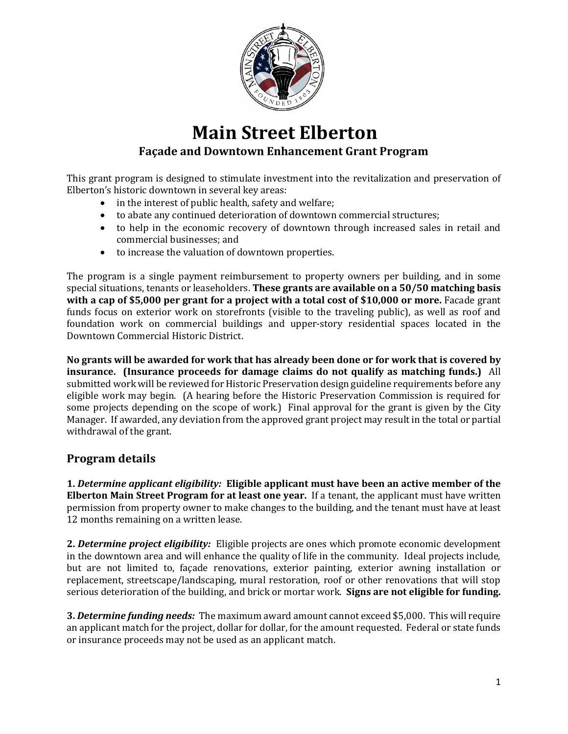

## **Main Street Elberton Façade and Downtown Enhancement Grant Program**

This grant program is designed to stimulate investment into the revitalization and preservation of Elberton's historic downtown in several key areas:

- in the interest of public health, safety and welfare;
- to abate any continued deterioration of downtown commercial structures;
- to help in the economic recovery of downtown through increased sales in retail and commercial businesses; and
- to increase the valuation of downtown properties.

The program is a single payment reimbursement to property owners per building, and in some special situations, tenants or leaseholders. **These grants are available on a 50/50 matching basis with a cap of \$5,000 per grant for a project with a total cost of \$10,000 or more.** Facade grant funds focus on exterior work on storefronts (visible to the traveling public), as well as roof and foundation work on commercial buildings and upper-story residential spaces located in the Downtown Commercial Historic District.

**No grants will be awarded for work that has already been done or for work that is covered by insurance. (Insurance proceeds for damage claims do not qualify as matching funds.)** All submitted work will be reviewed for Historic Preservation design guideline requirements before any eligible work may begin. (A hearing before the Historic Preservation Commission is required for some projects depending on the scope of work.) Final approval for the grant is given by the City Manager. If awarded, any deviation from the approved grant project may result in the total or partial withdrawal of the grant.

### **Program details**

**1.** *Determine applicant eligibility:* **Eligible applicant must have been an active member of the Elberton Main Street Program for at least one year.** If a tenant, the applicant must have written permission from property owner to make changes to the building, and the tenant must have at least 12 months remaining on a written lease.

**2.** *Determine project eligibility:* Eligible projects are ones which promote economic development in the downtown area and will enhance the quality of life in the community. Ideal projects include, but are not limited to, façade renovations, exterior painting, exterior awning installation or replacement, streetscape/landscaping, mural restoration, roof or other renovations that will stop serious deterioration of the building, and brick or mortar work. **Signs are not eligible for funding.**

**3.** *Determine funding needs:* The maximum award amount cannot exceed \$5,000. This will require an applicant match for the project, dollar for dollar, for the amount requested. Federal or state funds or insurance proceeds may not be used as an applicant match.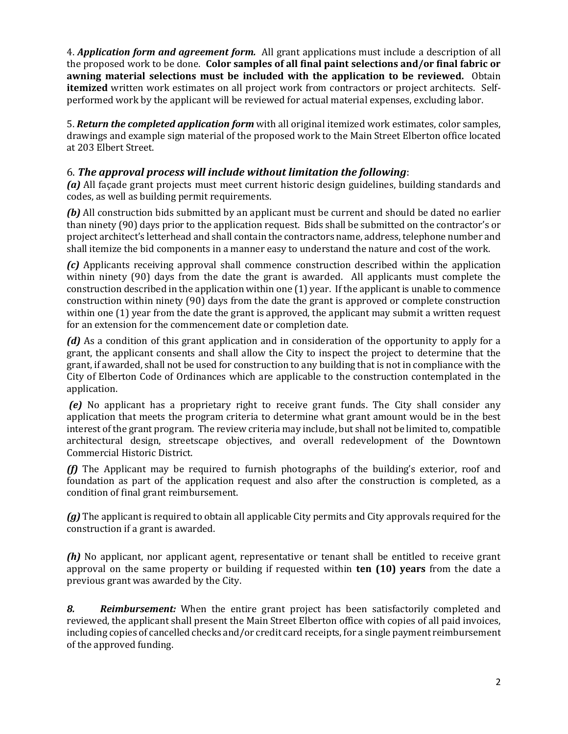4. *Application form and agreement form.* All grant applications must include a description of all the proposed work to be done. **Color samples of all final paint selections and/or final fabric or awning material selections must be included with the application to be reviewed.** Obtain **itemized** written work estimates on all project work from contractors or project architects. Self‐ performed work by the applicant will be reviewed for actual material expenses, excluding labor.

5. *Return the completed application form* with all original itemized work estimates, color samples, drawings and example sign material of the proposed work to the Main Street Elberton office located at 203 Elbert Street.

#### 6. *The approval process will include without limitation the following*:

*(a)* All façade grant projects must meet current historic design guidelines, building standards and codes, as well as building permit requirements.

**(b)** All construction bids submitted by an applicant must be current and should be dated no earlier than ninety (90) days prior to the application request. Bids shall be submitted on the contractor's or project architect's letterhead and shall contain the contractors name, address, telephone number and shall itemize the bid components in a manner easy to understand the nature and cost of the work.

*(c)* Applicants receiving approval shall commence construction described within the application within ninety (90) days from the date the grant is awarded. All applicants must complete the construction described in the application within one (1) year. If the applicant is unable to commence construction within ninety (90) days from the date the grant is approved or complete construction within one (1) year from the date the grant is approved, the applicant may submit a written request for an extension for the commencement date or completion date.

*(d)* As a condition of this grant application and in consideration of the opportunity to apply for a grant, the applicant consents and shall allow the City to inspect the project to determine that the grant, if awarded, shall not be used for construction to any building that is not in compliance with the City of Elberton Code of Ordinances which are applicable to the construction contemplated in the application.

*(e)* No applicant has a proprietary right to receive grant funds. The City shall consider any application that meets the program criteria to determine what grant amount would be in the best interest of the grant program. The review criteria may include, but shall not be limited to, compatible architectural design, streetscape objectives, and overall redevelopment of the Downtown Commercial Historic District.

*(f)* The Applicant may be required to furnish photographs of the building's exterior, roof and foundation as part of the application request and also after the construction is completed, as a condition of final grant reimbursement.

*(g)* The applicant is required to obtain all applicable City permits and City approvals required for the construction if a grant is awarded.

*(h)* No applicant, nor applicant agent, representative or tenant shall be entitled to receive grant approval on the same property or building if requested within **ten (10) years** from the date a previous grant was awarded by the City.

*8. Reimbursement:* When the entire grant project has been satisfactorily completed and reviewed, the applicant shall present the Main Street Elberton office with copies of all paid invoices, including copies of cancelled checks and/or credit card receipts, for a single payment reimbursement of the approved funding.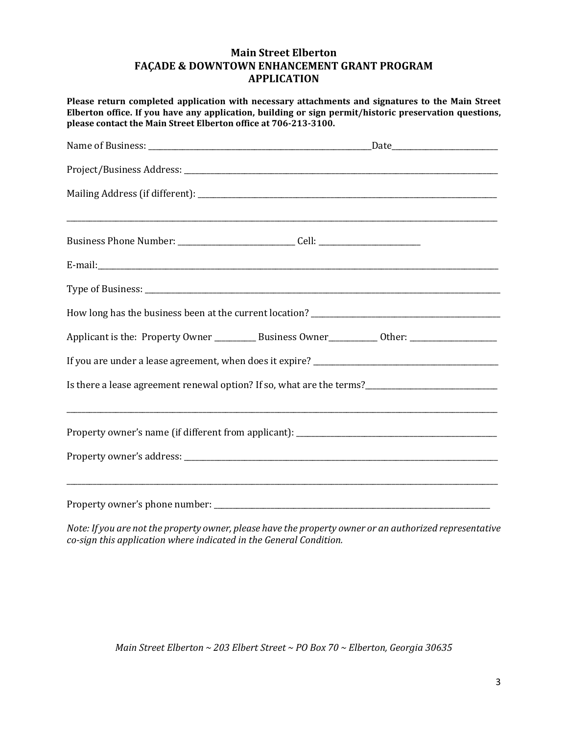#### **Main Street Elberton FAÇADE & DOWNTOWN ENHANCEMENT GRANT PROGRAM APPLICATION**

**Please return completed application with necessary attachments and signatures to the Main Street Elberton office. If you have any application, building or sign permit/historic preservation questions, please contact the Main Street Elberton office at 706-213-3100.**

| Business Phone Number: _______________________________Cell: ____________________ |                                                                                                     |  |
|----------------------------------------------------------------------------------|-----------------------------------------------------------------------------------------------------|--|
|                                                                                  |                                                                                                     |  |
|                                                                                  |                                                                                                     |  |
|                                                                                  |                                                                                                     |  |
|                                                                                  | Applicant is the: Property Owner ___________ Business Owner___________ Other: _____________________ |  |
|                                                                                  |                                                                                                     |  |
|                                                                                  | Is there a lease agreement renewal option? If so, what are the terms?______________________________ |  |
|                                                                                  |                                                                                                     |  |
|                                                                                  |                                                                                                     |  |
|                                                                                  |                                                                                                     |  |
|                                                                                  |                                                                                                     |  |

*Note: If you are not the property owner, please have the property owner or an authorized representative co-sign this application where indicated in the General Condition.*

*Main Street Elberton ~ 203 Elbert Street ~ PO Box 70 ~ Elberton, Georgia 30635*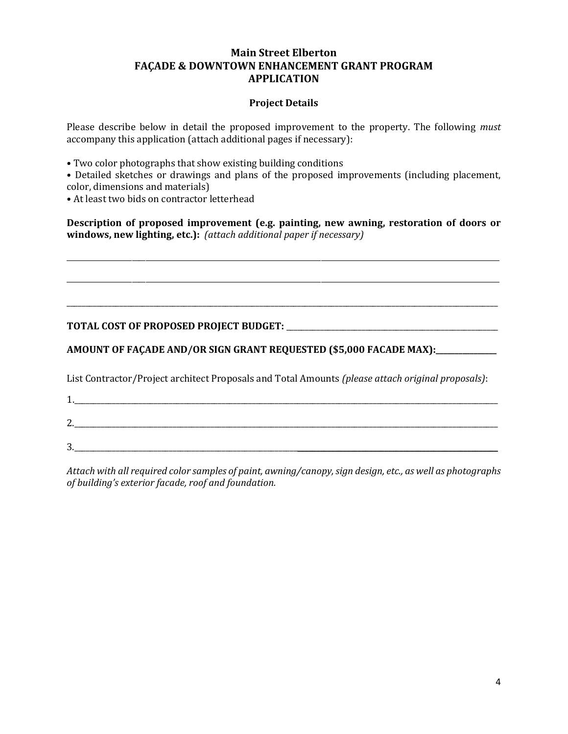#### **Main Street Elberton FAÇADE & DOWNTOWN ENHANCEMENT GRANT PROGRAM APPLICATION**

#### **Project Details**

Please describe below in detail the proposed improvement to the property. The following *must*  accompany this application (attach additional pages if necessary):

- Two color photographs that show existing building conditions
- Detailed sketches or drawings and plans of the proposed improvements (including placement, color, dimensions and materials)
- At least two bids on contractor letterhead

**Description of proposed improvement (e.g. painting, new awning, restoration of doors or windows, new lighting, etc.):** *(attach additional paper if necessary)* 

\_\_\_\_\_\_\_\_\_\_\_\_\_\_\_\_\_\_\_\_\_\_\_\_\_\_\_\_\_\_\_\_\_\_\_\_\_\_\_\_\_\_\_\_\_\_\_\_\_\_\_\_\_\_\_\_\_\_\_\_\_\_\_\_\_\_\_\_\_\_\_\_\_\_\_\_\_\_\_\_\_\_\_\_\_\_\_\_\_\_\_\_\_\_\_\_\_\_\_\_\_\_\_\_\_\_\_\_\_\_\_\_\_\_\_\_\_\_\_\_\_\_\_\_\_\_

\_\_\_\_\_\_\_\_\_\_\_\_\_\_\_\_\_\_\_\_\_\_\_\_\_\_\_\_\_\_\_\_\_\_\_\_\_\_\_\_\_\_\_\_\_\_\_\_\_\_\_\_\_\_\_\_\_\_\_\_\_\_\_\_\_\_\_\_\_\_\_\_\_\_\_\_\_\_\_\_\_\_\_\_\_\_\_\_\_\_\_\_\_\_\_\_\_\_\_\_\_\_\_\_\_\_\_\_\_\_\_\_\_\_\_\_\_\_\_\_\_\_\_\_\_\_

\_\_\_\_\_\_\_\_\_\_\_\_\_\_\_\_\_\_\_\_\_\_\_\_\_\_\_\_\_\_\_\_\_\_\_\_\_\_\_\_\_\_\_\_\_\_\_\_\_\_\_\_\_\_\_\_\_\_\_\_\_\_\_\_\_\_\_\_\_\_\_\_\_\_\_\_\_\_\_\_\_\_\_\_\_\_\_\_\_\_\_\_\_\_\_\_\_\_\_\_\_\_\_\_\_\_\_\_\_\_\_\_\_\_

**TOTAL COST OF PROPOSED PROJECT BUDGET:** \_\_\_\_\_\_\_\_\_\_\_\_\_\_\_\_\_\_\_\_\_\_\_\_\_\_\_\_\_\_\_\_\_\_\_\_\_\_\_\_\_\_\_\_\_\_\_\_\_\_\_\_\_\_\_\_

**AMOUNT OF FAÇADE AND/OR SIGN GRANT REQUESTED (\$5,000 FACADE MAX):\_\_\_\_\_\_\_\_\_\_\_\_\_\_\_\_**

1.

List Contractor/Project architect Proposals and Total Amounts *(please attach original proposals)*:

2.\_\_\_\_\_\_\_\_\_\_\_\_\_\_\_\_\_\_\_\_\_\_\_\_\_\_\_\_\_\_\_\_\_\_\_\_\_\_\_\_\_\_\_\_\_\_\_\_\_\_\_\_\_\_\_\_\_\_\_\_\_\_\_\_\_\_\_\_\_\_\_\_\_\_\_\_\_\_\_\_\_\_\_\_\_\_\_\_\_\_\_\_\_\_\_\_\_\_\_\_\_\_\_\_\_\_\_\_\_\_\_\_

 $3.$ 

*Attach with all required color samples of paint, awning/canopy, sign design, etc., as well as photographs of building's exterior facade, roof and foundation.*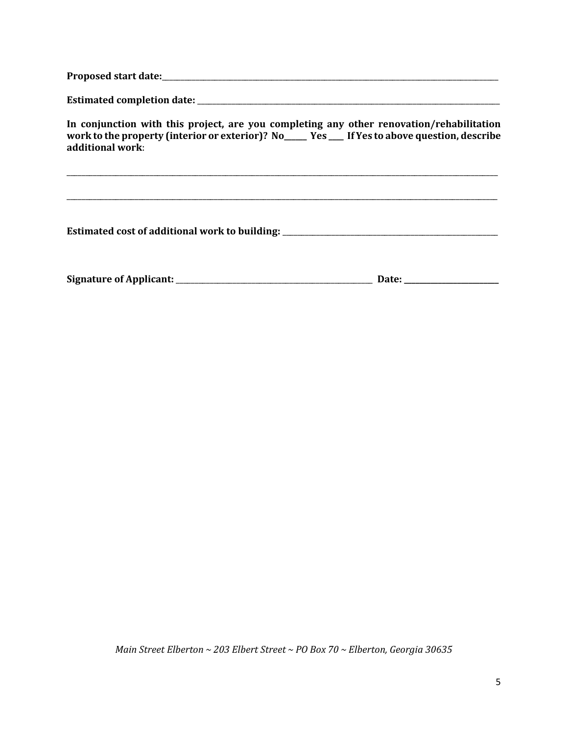**Proposed start date:**\_\_\_\_\_\_\_\_\_\_\_\_\_\_\_\_\_\_\_\_\_\_\_\_\_\_\_\_\_\_\_\_\_\_\_\_\_\_\_\_\_\_\_\_\_\_\_\_\_\_\_\_\_\_\_\_\_\_\_\_\_\_\_\_\_\_\_\_\_\_\_\_\_\_\_\_\_\_\_\_\_\_\_\_\_\_\_\_\_

**Estimated completion date:** \_\_\_\_\_\_\_\_\_\_\_\_\_\_\_\_\_\_\_\_\_\_\_\_\_\_\_\_\_\_\_\_\_\_\_\_\_\_\_\_\_\_\_\_\_\_\_\_\_\_\_\_\_\_\_\_\_\_\_\_\_\_\_\_\_\_\_\_\_\_\_\_\_\_\_\_\_\_\_\_

**In conjunction with this project, are you completing any other renovation/rehabilitation work to the property (interior or exterior)? No\_\_\_\_\_\_ Yes \_\_\_\_ If Yes to above question, describe additional work**:

\_\_\_\_\_\_\_\_\_\_\_\_\_\_\_\_\_\_\_\_\_\_\_\_\_\_\_\_\_\_\_\_\_\_\_\_\_\_\_\_\_\_\_\_\_\_\_\_\_\_\_\_\_\_\_\_\_\_\_\_\_\_\_\_\_\_\_\_\_\_\_\_\_\_\_\_\_\_\_\_\_\_\_\_\_\_\_\_\_\_\_\_\_\_\_\_\_\_\_\_\_\_\_\_\_\_\_\_\_\_\_\_\_\_

\_\_\_\_\_\_\_\_\_\_\_\_\_\_\_\_\_\_\_\_\_\_\_\_\_\_\_\_\_\_\_\_\_\_\_\_\_\_\_\_\_\_\_\_\_\_\_\_\_\_\_\_\_\_\_\_\_\_\_\_\_\_\_\_\_\_\_\_\_\_\_\_\_\_\_\_\_\_\_\_\_\_\_\_\_\_\_\_\_\_\_\_\_\_\_\_\_\_\_\_\_\_\_\_\_\_\_\_\_\_\_\_\_\_

**Estimated cost of additional work to building:** \_\_\_\_\_\_\_\_\_\_\_\_\_\_\_\_\_\_\_\_\_\_\_\_\_\_\_\_\_\_\_\_\_\_\_\_\_\_\_\_\_\_\_\_\_\_\_\_\_\_\_\_\_\_\_\_\_

**Signature of Applicant:** \_\_\_\_\_\_\_\_\_\_\_\_\_\_\_\_\_\_\_\_\_\_\_\_\_\_\_\_\_\_\_\_\_\_\_\_\_\_\_\_\_\_\_\_\_\_\_\_\_\_\_\_ **Date: \_\_\_\_\_\_\_\_\_\_\_\_\_\_\_\_\_\_\_\_\_\_\_\_\_**